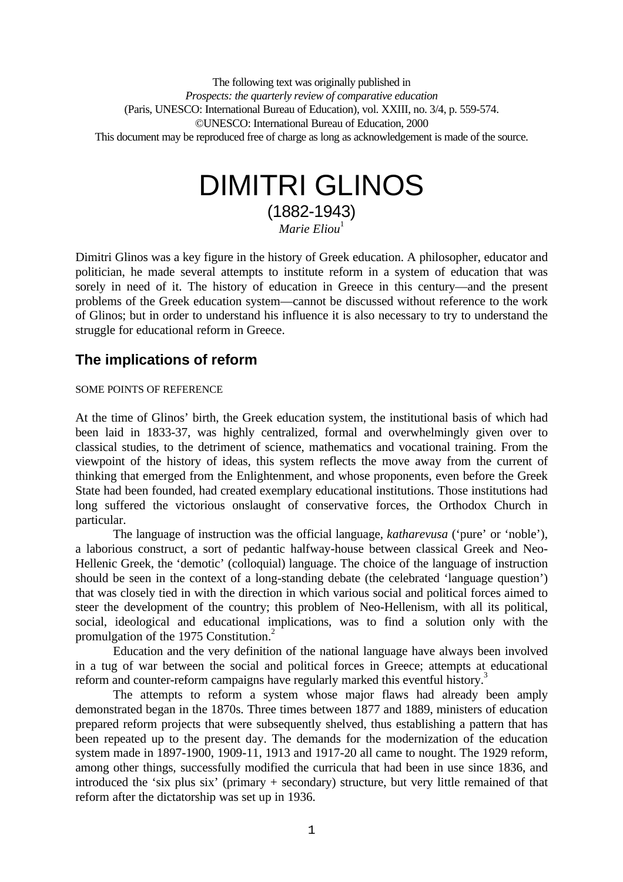The following text was originally published in *Prospects: the quarterly review of comparative education* (Paris, UNESCO: International Bureau of Education), vol. XXIII, no. 3/4, p. 559-574. ©UNESCO: International Bureau of Education, 2000 This document may be reproduced free of charge as long as acknowledgement is made of the source.

# DIMITRI GLINOS

(1882-1943) *Marie Eliou*<sup>1</sup>

Dimitri Glinos was a key figure in the history of Greek education. A philosopher, educator and politician, he made several attempts to institute reform in a system of education that was sorely in need of it. The history of education in Greece in this century—and the present problems of the Greek education system—cannot be discussed without reference to the work of Glinos; but in order to understand his influence it is also necessary to try to understand the struggle for educational reform in Greece.

# **The implications of reform**

#### SOME POINTS OF REFERENCE

At the time of Glinos' birth, the Greek education system, the institutional basis of which had been laid in 1833-37, was highly centralized, formal and overwhelmingly given over to classical studies, to the detriment of science, mathematics and vocational training. From the viewpoint of the history of ideas, this system reflects the move away from the current of thinking that emerged from the Enlightenment, and whose proponents, even before the Greek State had been founded, had created exemplary educational institutions. Those institutions had long suffered the victorious onslaught of conservative forces, the Orthodox Church in particular.

The language of instruction was the official language, *katharevusa* ('pure' or 'noble'), a laborious construct, a sort of pedantic halfway-house between classical Greek and Neo-Hellenic Greek, the 'demotic' (colloquial) language. The choice of the language of instruction should be seen in the context of a long-standing debate (the celebrated 'language question') that was closely tied in with the direction in which various social and political forces aimed to steer the development of the country; this problem of Neo-Hellenism, with all its political, social, ideological and educational implications, was to find a solution only with the promulgation of the 1975 Constitution.<sup>2</sup>

Education and the very definition of the national language have always been involved in a tug of war between the social and political forces in Greece; attempts at educational reform and counter-reform campaigns have regularly marked this eventful history.<sup>3</sup>

The attempts to reform a system whose major flaws had already been amply demonstrated began in the 1870s. Three times between 1877 and 1889, ministers of education prepared reform projects that were subsequently shelved, thus establishing a pattern that has been repeated up to the present day. The demands for the modernization of the education system made in 1897-1900, 1909-11, 1913 and 1917-20 all came to nought. The 1929 reform, among other things, successfully modified the curricula that had been in use since 1836, and introduced the 'six plus six' (primary + secondary) structure, but very little remained of that reform after the dictatorship was set up in 1936.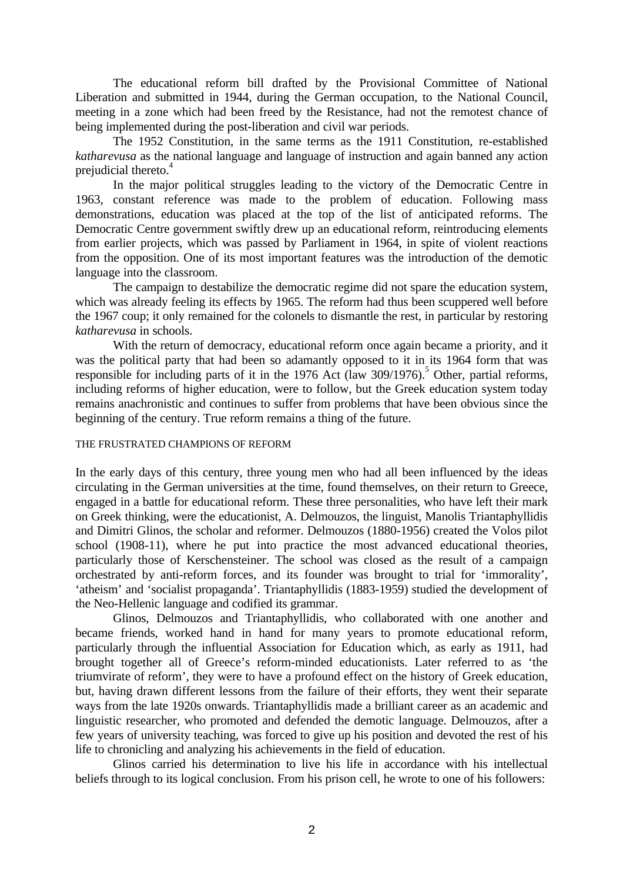The educational reform bill drafted by the Provisional Committee of National Liberation and submitted in 1944, during the German occupation, to the National Council, meeting in a zone which had been freed by the Resistance, had not the remotest chance of being implemented during the post-liberation and civil war periods.

The 1952 Constitution, in the same terms as the 1911 Constitution, re-established *katharevusa* as the national language and language of instruction and again banned any action prejudicial thereto.<sup>4</sup>

In the major political struggles leading to the victory of the Democratic Centre in 1963, constant reference was made to the problem of education. Following mass demonstrations, education was placed at the top of the list of anticipated reforms. The Democratic Centre government swiftly drew up an educational reform, reintroducing elements from earlier projects, which was passed by Parliament in 1964, in spite of violent reactions from the opposition. One of its most important features was the introduction of the demotic language into the classroom.

The campaign to destabilize the democratic regime did not spare the education system, which was already feeling its effects by 1965. The reform had thus been scuppered well before the 1967 coup; it only remained for the colonels to dismantle the rest, in particular by restoring *katharevusa* in schools.

With the return of democracy, educational reform once again became a priority, and it was the political party that had been so adamantly opposed to it in its 1964 form that was responsible for including parts of it in the 1976 Act (law 309/1976).<sup>5</sup> Other, partial reforms, including reforms of higher education, were to follow, but the Greek education system today remains anachronistic and continues to suffer from problems that have been obvious since the beginning of the century. True reform remains a thing of the future.

#### THE FRUSTRATED CHAMPIONS OF REFORM

In the early days of this century, three young men who had all been influenced by the ideas circulating in the German universities at the time, found themselves, on their return to Greece, engaged in a battle for educational reform. These three personalities, who have left their mark on Greek thinking, were the educationist, A. Delmouzos, the linguist, Manolis Triantaphyllidis and Dimitri Glinos, the scholar and reformer. Delmouzos (1880-1956) created the Volos pilot school (1908-11), where he put into practice the most advanced educational theories, particularly those of Kerschensteiner. The school was closed as the result of a campaign orchestrated by anti-reform forces, and its founder was brought to trial for 'immorality', 'atheism' and 'socialist propaganda'. Triantaphyllidis (1883-1959) studied the development of the Neo-Hellenic language and codified its grammar.

Glinos, Delmouzos and Triantaphyllidis, who collaborated with one another and became friends, worked hand in hand for many years to promote educational reform, particularly through the influential Association for Education which, as early as 1911, had brought together all of Greece's reform-minded educationists. Later referred to as 'the triumvirate of reform', they were to have a profound effect on the history of Greek education, but, having drawn different lessons from the failure of their efforts, they went their separate ways from the late 1920s onwards. Triantaphyllidis made a brilliant career as an academic and linguistic researcher, who promoted and defended the demotic language. Delmouzos, after a few years of university teaching, was forced to give up his position and devoted the rest of his life to chronicling and analyzing his achievements in the field of education.

Glinos carried his determination to live his life in accordance with his intellectual beliefs through to its logical conclusion. From his prison cell, he wrote to one of his followers: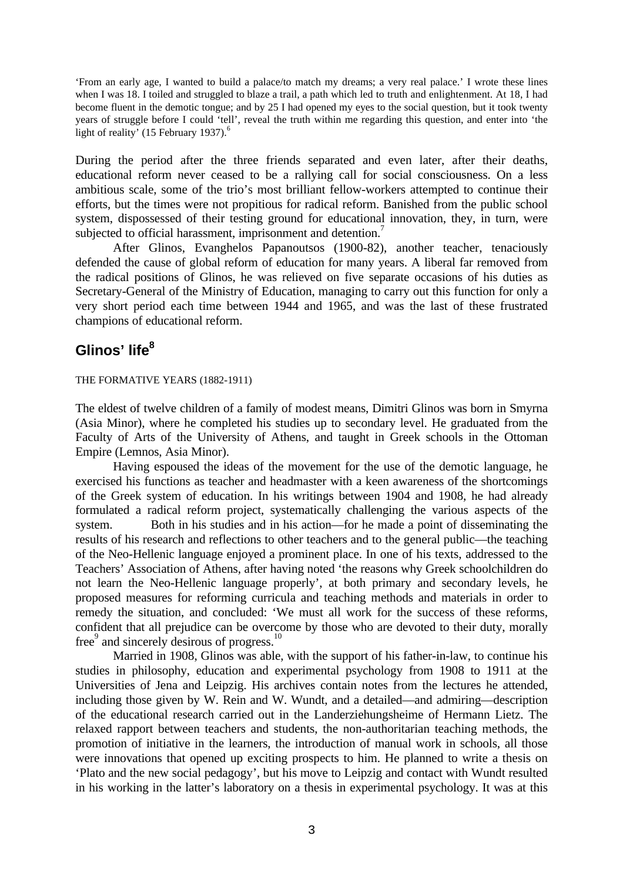'From an early age, I wanted to build a palace/to match my dreams; a very real palace.' I wrote these lines when I was 18. I toiled and struggled to blaze a trail, a path which led to truth and enlightenment. At 18, I had become fluent in the demotic tongue; and by 25 I had opened my eyes to the social question, but it took twenty years of struggle before I could 'tell', reveal the truth within me regarding this question, and enter into 'the light of reality' (15 February 1937).<sup>6</sup>

During the period after the three friends separated and even later, after their deaths, educational reform never ceased to be a rallying call for social consciousness. On a less ambitious scale, some of the trio's most brilliant fellow-workers attempted to continue their efforts, but the times were not propitious for radical reform. Banished from the public school system, dispossessed of their testing ground for educational innovation, they, in turn, were subjected to official harassment, imprisonment and detention.

After Glinos, Evanghelos Papanoutsos (1900-82), another teacher, tenaciously defended the cause of global reform of education for many years. A liberal far removed from the radical positions of Glinos, he was relieved on five separate occasions of his duties as Secretary-General of the Ministry of Education, managing to carry out this function for only a very short period each time between 1944 and 1965, and was the last of these frustrated champions of educational reform.

# **Glinos' life<sup>8</sup>**

#### THE FORMATIVE YEARS (1882-1911)

The eldest of twelve children of a family of modest means, Dimitri Glinos was born in Smyrna (Asia Minor), where he completed his studies up to secondary level. He graduated from the Faculty of Arts of the University of Athens, and taught in Greek schools in the Ottoman Empire (Lemnos, Asia Minor).

Having espoused the ideas of the movement for the use of the demotic language, he exercised his functions as teacher and headmaster with a keen awareness of the shortcomings of the Greek system of education. In his writings between 1904 and 1908, he had already formulated a radical reform project, systematically challenging the various aspects of the system. Both in his studies and in his action—for he made a point of disseminating the results of his research and reflections to other teachers and to the general public—the teaching of the Neo-Hellenic language enjoyed a prominent place. In one of his texts, addressed to the Teachers' Association of Athens, after having noted 'the reasons why Greek schoolchildren do not learn the Neo-Hellenic language properly', at both primary and secondary levels, he proposed measures for reforming curricula and teaching methods and materials in order to remedy the situation, and concluded: 'We must all work for the success of these reforms, confident that all prejudice can be overcome by those who are devoted to their duty, morally free $^9$  and sincerely desirous of progress.<sup>10</sup>

Married in 1908, Glinos was able, with the support of his father-in-law, to continue his studies in philosophy, education and experimental psychology from 1908 to 1911 at the Universities of Jena and Leipzig. His archives contain notes from the lectures he attended, including those given by W. Rein and W. Wundt, and a detailed—and admiring—description of the educational research carried out in the Landerziehungsheime of Hermann Lietz. The relaxed rapport between teachers and students, the non-authoritarian teaching methods, the promotion of initiative in the learners, the introduction of manual work in schools, all those were innovations that opened up exciting prospects to him. He planned to write a thesis on 'Plato and the new social pedagogy', but his move to Leipzig and contact with Wundt resulted in his working in the latter's laboratory on a thesis in experimental psychology. It was at this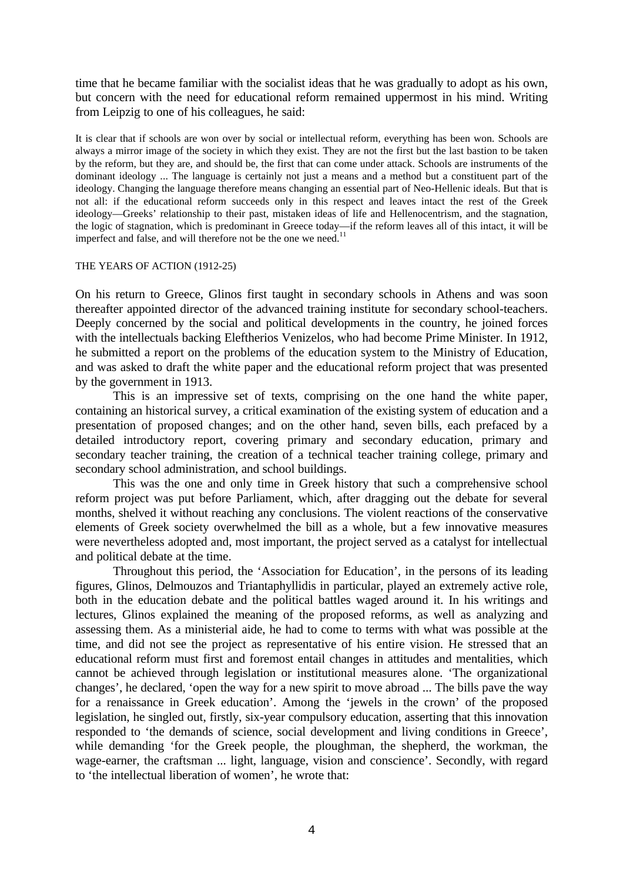time that he became familiar with the socialist ideas that he was gradually to adopt as his own, but concern with the need for educational reform remained uppermost in his mind. Writing from Leipzig to one of his colleagues, he said:

It is clear that if schools are won over by social or intellectual reform, everything has been won. Schools are always a mirror image of the society in which they exist. They are not the first but the last bastion to be taken by the reform, but they are, and should be, the first that can come under attack. Schools are instruments of the dominant ideology ... The language is certainly not just a means and a method but a constituent part of the ideology. Changing the language therefore means changing an essential part of Neo-Hellenic ideals. But that is not all: if the educational reform succeeds only in this respect and leaves intact the rest of the Greek ideology—Greeks' relationship to their past, mistaken ideas of life and Hellenocentrism, and the stagnation, the logic of stagnation, which is predominant in Greece today—if the reform leaves all of this intact, it will be imperfect and false, and will therefore not be the one we need.<sup>11</sup>

#### THE YEARS OF ACTION (1912-25)

On his return to Greece, Glinos first taught in secondary schools in Athens and was soon thereafter appointed director of the advanced training institute for secondary school-teachers. Deeply concerned by the social and political developments in the country, he joined forces with the intellectuals backing Eleftherios Venizelos, who had become Prime Minister. In 1912, he submitted a report on the problems of the education system to the Ministry of Education, and was asked to draft the white paper and the educational reform project that was presented by the government in 1913.

This is an impressive set of texts, comprising on the one hand the white paper, containing an historical survey, a critical examination of the existing system of education and a presentation of proposed changes; and on the other hand, seven bills, each prefaced by a detailed introductory report, covering primary and secondary education, primary and secondary teacher training, the creation of a technical teacher training college, primary and secondary school administration, and school buildings.

This was the one and only time in Greek history that such a comprehensive school reform project was put before Parliament, which, after dragging out the debate for several months, shelved it without reaching any conclusions. The violent reactions of the conservative elements of Greek society overwhelmed the bill as a whole, but a few innovative measures were nevertheless adopted and, most important, the project served as a catalyst for intellectual and political debate at the time.

Throughout this period, the 'Association for Education', in the persons of its leading figures, Glinos, Delmouzos and Triantaphyllidis in particular, played an extremely active role, both in the education debate and the political battles waged around it. In his writings and lectures, Glinos explained the meaning of the proposed reforms, as well as analyzing and assessing them. As a ministerial aide, he had to come to terms with what was possible at the time, and did not see the project as representative of his entire vision. He stressed that an educational reform must first and foremost entail changes in attitudes and mentalities, which cannot be achieved through legislation or institutional measures alone. 'The organizational changes', he declared, 'open the way for a new spirit to move abroad ... The bills pave the way for a renaissance in Greek education'. Among the 'jewels in the crown' of the proposed legislation, he singled out, firstly, six-year compulsory education, asserting that this innovation responded to 'the demands of science, social development and living conditions in Greece', while demanding 'for the Greek people, the ploughman, the shepherd, the workman, the wage-earner, the craftsman ... light, language, vision and conscience'. Secondly, with regard to 'the intellectual liberation of women', he wrote that: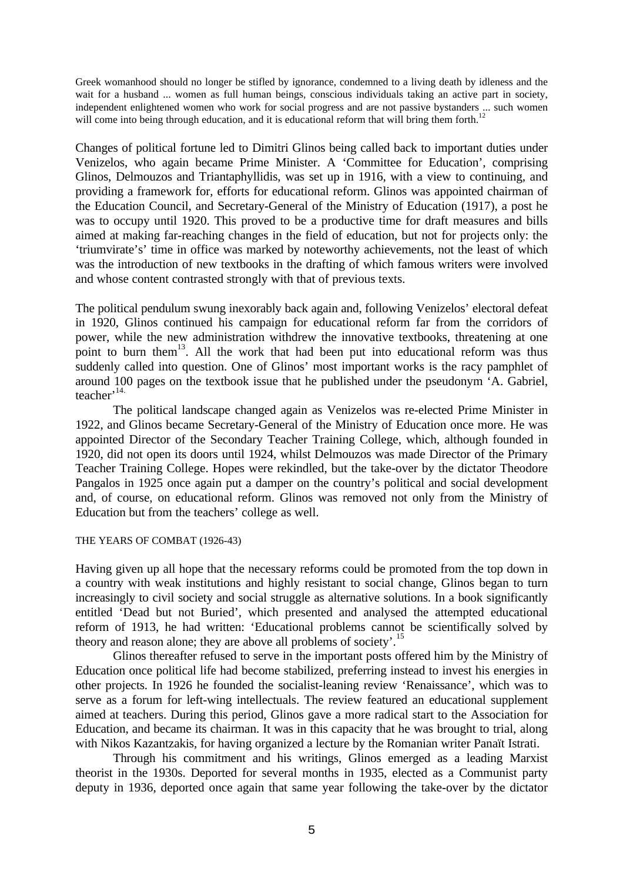Greek womanhood should no longer be stifled by ignorance, condemned to a living death by idleness and the wait for a husband ... women as full human beings, conscious individuals taking an active part in society, independent enlightened women who work for social progress and are not passive bystanders ... such women will come into being through education, and it is educational reform that will bring them forth.<sup>1</sup>

Changes of political fortune led to Dimitri Glinos being called back to important duties under Venizelos, who again became Prime Minister. A 'Committee for Education', comprising Glinos, Delmouzos and Triantaphyllidis, was set up in 1916, with a view to continuing, and providing a framework for, efforts for educational reform. Glinos was appointed chairman of the Education Council, and Secretary-General of the Ministry of Education (1917), a post he was to occupy until 1920. This proved to be a productive time for draft measures and bills aimed at making far-reaching changes in the field of education, but not for projects only: the 'triumvirate's' time in office was marked by noteworthy achievements, not the least of which was the introduction of new textbooks in the drafting of which famous writers were involved and whose content contrasted strongly with that of previous texts.

The political pendulum swung inexorably back again and, following Venizelos' electoral defeat in 1920, Glinos continued his campaign for educational reform far from the corridors of power, while the new administration withdrew the innovative textbooks, threatening at one point to burn them<sup>13</sup>. All the work that had been put into educational reform was thus suddenly called into question. One of Glinos' most important works is the racy pamphlet of around 100 pages on the textbook issue that he published under the pseudonym 'A. Gabriel, teacher'<sup>14.</sup>

The political landscape changed again as Venizelos was re-elected Prime Minister in 1922, and Glinos became Secretary-General of the Ministry of Education once more. He was appointed Director of the Secondary Teacher Training College, which, although founded in 1920, did not open its doors until 1924, whilst Delmouzos was made Director of the Primary Teacher Training College. Hopes were rekindled, but the take-over by the dictator Theodore Pangalos in 1925 once again put a damper on the country's political and social development and, of course, on educational reform. Glinos was removed not only from the Ministry of Education but from the teachers' college as well.

#### THE YEARS OF COMBAT (1926-43)

Having given up all hope that the necessary reforms could be promoted from the top down in a country with weak institutions and highly resistant to social change, Glinos began to turn increasingly to civil society and social struggle as alternative solutions. In a book significantly entitled 'Dead but not Buried', which presented and analysed the attempted educational reform of 1913, he had written: 'Educational problems cannot be scientifically solved by theory and reason alone; they are above all problems of society'.<sup>15</sup>

Glinos thereafter refused to serve in the important posts offered him by the Ministry of Education once political life had become stabilized, preferring instead to invest his energies in other projects. In 1926 he founded the socialist-leaning review 'Renaissance', which was to serve as a forum for left-wing intellectuals. The review featured an educational supplement aimed at teachers. During this period, Glinos gave a more radical start to the Association for Education, and became its chairman. It was in this capacity that he was brought to trial, along with Nikos Kazantzakis, for having organized a lecture by the Romanian writer Panaït Istrati.

Through his commitment and his writings, Glinos emerged as a leading Marxist theorist in the 1930s. Deported for several months in 1935, elected as a Communist party deputy in 1936, deported once again that same year following the take-over by the dictator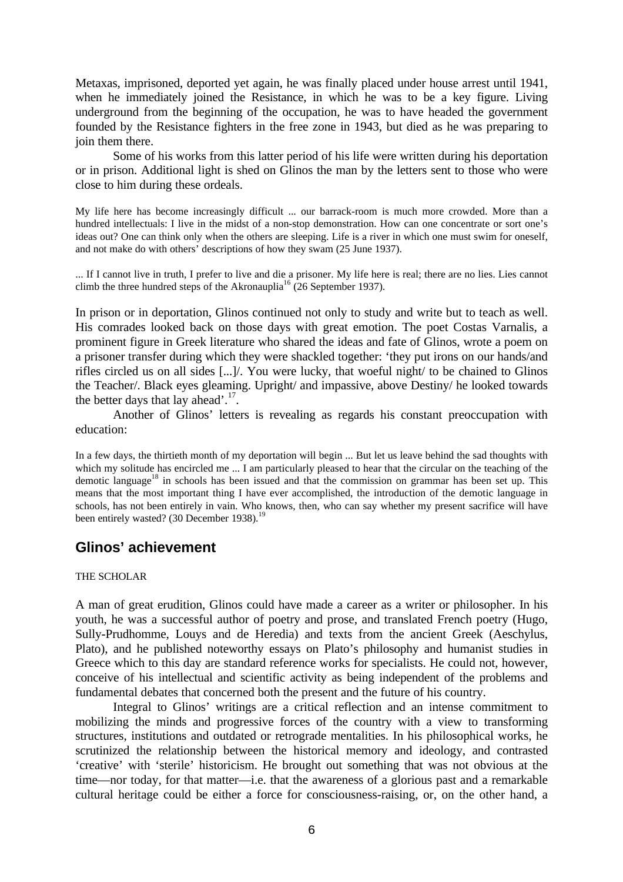Metaxas, imprisoned, deported yet again, he was finally placed under house arrest until 1941, when he immediately joined the Resistance, in which he was to be a key figure. Living underground from the beginning of the occupation, he was to have headed the government founded by the Resistance fighters in the free zone in 1943, but died as he was preparing to join them there.

Some of his works from this latter period of his life were written during his deportation or in prison. Additional light is shed on Glinos the man by the letters sent to those who were close to him during these ordeals.

My life here has become increasingly difficult ... our barrack-room is much more crowded. More than a hundred intellectuals: I live in the midst of a non-stop demonstration. How can one concentrate or sort one's ideas out? One can think only when the others are sleeping. Life is a river in which one must swim for oneself, and not make do with others' descriptions of how they swam (25 June 1937).

... If I cannot live in truth, I prefer to live and die a prisoner. My life here is real; there are no lies. Lies cannot climb the three hundred steps of the Akronauplia<sup>16</sup> (26 September 1937).

In prison or in deportation, Glinos continued not only to study and write but to teach as well. His comrades looked back on those days with great emotion. The poet Costas Varnalis, a prominent figure in Greek literature who shared the ideas and fate of Glinos, wrote a poem on a prisoner transfer during which they were shackled together: 'they put irons on our hands/and rifles circled us on all sides [...]/. You were lucky, that woeful night/ to be chained to Glinos the Teacher/. Black eyes gleaming. Upright/ and impassive, above Destiny/ he looked towards the better days that lay ahead'.<sup>17</sup>.

Another of Glinos' letters is revealing as regards his constant preoccupation with education:

In a few days, the thirtieth month of my deportation will begin ... But let us leave behind the sad thoughts with which my solitude has encircled me ... I am particularly pleased to hear that the circular on the teaching of the demotic language<sup>18</sup> in schools has been issued and that the commission on grammar has been set up. This means that the most important thing I have ever accomplished, the introduction of the demotic language in schools, has not been entirely in vain. Who knows, then, who can say whether my present sacrifice will have been entirely wasted? (30 December 1938).<sup>19</sup>

### **Glinos' achievement**

#### THE SCHOLAR

A man of great erudition, Glinos could have made a career as a writer or philosopher. In his youth, he was a successful author of poetry and prose, and translated French poetry (Hugo, Sully-Prudhomme, Louys and de Heredia) and texts from the ancient Greek (Aeschylus, Plato), and he published noteworthy essays on Plato's philosophy and humanist studies in Greece which to this day are standard reference works for specialists. He could not, however, conceive of his intellectual and scientific activity as being independent of the problems and fundamental debates that concerned both the present and the future of his country.

Integral to Glinos' writings are a critical reflection and an intense commitment to mobilizing the minds and progressive forces of the country with a view to transforming structures, institutions and outdated or retrograde mentalities. In his philosophical works, he scrutinized the relationship between the historical memory and ideology, and contrasted 'creative' with 'sterile' historicism. He brought out something that was not obvious at the time—nor today, for that matter—i.e. that the awareness of a glorious past and a remarkable cultural heritage could be either a force for consciousness-raising, or, on the other hand, a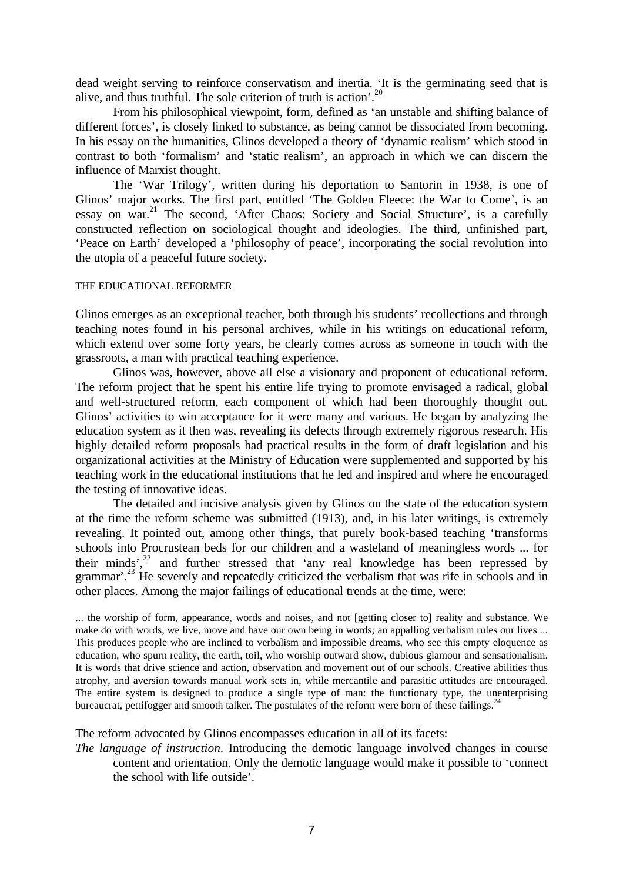dead weight serving to reinforce conservatism and inertia. 'It is the germinating seed that is alive, and thus truthful. The sole criterion of truth is action'. 20

From his philosophical viewpoint, form, defined as 'an unstable and shifting balance of different forces', is closely linked to substance, as being cannot be dissociated from becoming. In his essay on the humanities, Glinos developed a theory of 'dynamic realism' which stood in contrast to both 'formalism' and 'static realism', an approach in which we can discern the influence of Marxist thought.

The 'War Trilogy', written during his deportation to Santorin in 1938, is one of Glinos' major works. The first part, entitled 'The Golden Fleece: the War to Come', is an essay on war.<sup>21</sup> The second, 'After Chaos: Society and Social Structure', is a carefully constructed reflection on sociological thought and ideologies. The third, unfinished part, 'Peace on Earth' developed a 'philosophy of peace', incorporating the social revolution into the utopia of a peaceful future society.

#### THE EDUCATIONAL REFORMER

Glinos emerges as an exceptional teacher, both through his students' recollections and through teaching notes found in his personal archives, while in his writings on educational reform, which extend over some forty years, he clearly comes across as someone in touch with the grassroots, a man with practical teaching experience.

Glinos was, however, above all else a visionary and proponent of educational reform. The reform project that he spent his entire life trying to promote envisaged a radical, global and well-structured reform, each component of which had been thoroughly thought out. Glinos' activities to win acceptance for it were many and various. He began by analyzing the education system as it then was, revealing its defects through extremely rigorous research. His highly detailed reform proposals had practical results in the form of draft legislation and his organizational activities at the Ministry of Education were supplemented and supported by his teaching work in the educational institutions that he led and inspired and where he encouraged the testing of innovative ideas.

The detailed and incisive analysis given by Glinos on the state of the education system at the time the reform scheme was submitted (1913), and, in his later writings, is extremely revealing. It pointed out, among other things, that purely book-based teaching 'transforms schools into Procrustean beds for our children and a wasteland of meaningless words ... for their minds<sup>2</sup>,<sup>22</sup> and further stressed that 'any real knowledge has been repressed by grammar'.<sup>23</sup> He severely and repeatedly criticized the verbalism that was rife in schools and in other places. Among the major failings of educational trends at the time, were:

... the worship of form, appearance, words and noises, and not [getting closer to] reality and substance. We make do with words, we live, move and have our own being in words; an appalling verbalism rules our lives ... This produces people who are inclined to verbalism and impossible dreams, who see this empty eloquence as education, who spurn reality, the earth, toil, who worship outward show, dubious glamour and sensationalism. It is words that drive science and action, observation and movement out of our schools. Creative abilities thus atrophy, and aversion towards manual work sets in, while mercantile and parasitic attitudes are encouraged. The entire system is designed to produce a single type of man: the functionary type, the unenterprising bureaucrat, pettifogger and smooth talker. The postulates of the reform were born of these failings.<sup>24</sup>

#### The reform advocated by Glinos encompasses education in all of its facets:

*The language of instruction*. Introducing the demotic language involved changes in course content and orientation. Only the demotic language would make it possible to 'connect the school with life outside'.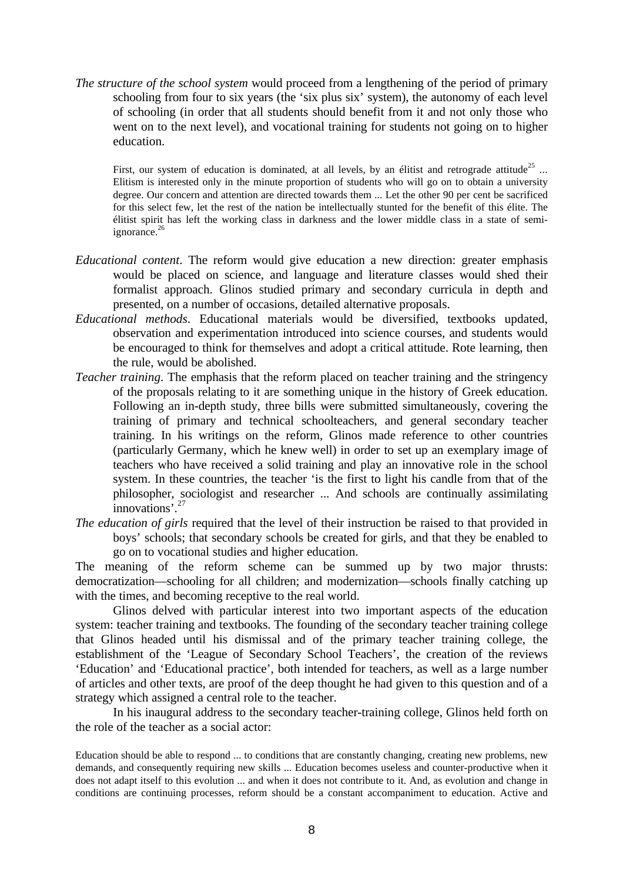*The structure of the school system* would proceed from a lengthening of the period of primary schooling from four to six years (the 'six plus six' system), the autonomy of each level of schooling (in order that all students should benefit from it and not only those who went on to the next level), and vocational training for students not going on to higher education.

First, our system of education is dominated, at all levels, by an élitist and retrograde attitude<sup>25</sup> ... Elitism is interested only in the minute proportion of students who will go on to obtain a university degree. Our concern and attention are directed towards them ... Let the other 90 per cent be sacrificed for this select few, let the rest of the nation be intellectually stunted for the benefit of this élite. The élitist spirit has left the working class in darkness and the lower middle class in a state of semiignorance. $^{26}$ 

- *Educational content*. The reform would give education a new direction: greater emphasis would be placed on science, and language and literature classes would shed their formalist approach. Glinos studied primary and secondary curricula in depth and presented, on a number of occasions, detailed alternative proposals.
- *Educational methods*. Educational materials would be diversified, textbooks updated, observation and experimentation introduced into science courses, and students would be encouraged to think for themselves and adopt a critical attitude. Rote learning, then the rule, would be abolished.
- *Teacher training*. The emphasis that the reform placed on teacher training and the stringency of the proposals relating to it are something unique in the history of Greek education. Following an in-depth study, three bills were submitted simultaneously, covering the training of primary and technical schoolteachers, and general secondary teacher training. In his writings on the reform, Glinos made reference to other countries (particularly Germany, which he knew well) in order to set up an exemplary image of teachers who have received a solid training and play an innovative role in the school system. In these countries, the teacher 'is the first to light his candle from that of the philosopher, sociologist and researcher ... And schools are continually assimilating innovations'. 27
- *The education of girls* required that the level of their instruction be raised to that provided in boys' schools; that secondary schools be created for girls, and that they be enabled to go on to vocational studies and higher education.

The meaning of the reform scheme can be summed up by two major thrusts: democratization—schooling for all children; and modernization—schools finally catching up with the times, and becoming receptive to the real world.

Glinos delved with particular interest into two important aspects of the education system: teacher training and textbooks. The founding of the secondary teacher training college that Glinos headed until his dismissal and of the primary teacher training college, the establishment of the 'League of Secondary School Teachers', the creation of the reviews 'Education' and 'Educational practice', both intended for teachers, as well as a large number of articles and other texts, are proof of the deep thought he had given to this question and of a strategy which assigned a central role to the teacher.

In his inaugural address to the secondary teacher-training college, Glinos held forth on the role of the teacher as a social actor:

Education should be able to respond ... to conditions that are constantly changing, creating new problems, new demands, and consequently requiring new skills ... Education becomes useless and counter-productive when it does not adapt itself to this evolution ... and when it does not contribute to it. And, as evolution and change in conditions are continuing processes, reform should be a constant accompaniment to education. Active and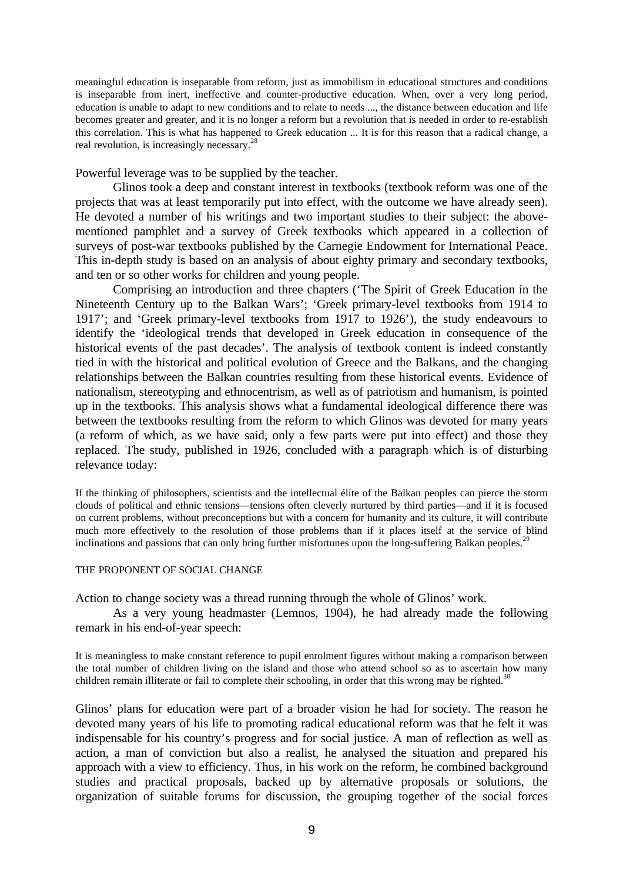meaningful education is inseparable from reform, just as immobilism in educational structures and conditions is inseparable from inert, ineffective and counter-productive education. When, over a very long period, education is unable to adapt to new conditions and to relate to needs ..., the distance between education and life becomes greater and greater, and it is no longer a reform but a revolution that is needed in order to re-establish this correlation. This is what has happened to Greek education ... It is for this reason that a radical change, a real revolution, is increasingly necessary.<sup>28</sup>

Powerful leverage was to be supplied by the teacher.

Glinos took a deep and constant interest in textbooks (textbook reform was one of the projects that was at least temporarily put into effect, with the outcome we have already seen). He devoted a number of his writings and two important studies to their subject: the abovementioned pamphlet and a survey of Greek textbooks which appeared in a collection of surveys of post-war textbooks published by the Carnegie Endowment for International Peace. This in-depth study is based on an analysis of about eighty primary and secondary textbooks, and ten or so other works for children and young people.

Comprising an introduction and three chapters ('The Spirit of Greek Education in the Nineteenth Century up to the Balkan Wars'; 'Greek primary-level textbooks from 1914 to 1917'; and 'Greek primary-level textbooks from 1917 to 1926'), the study endeavours to identify the 'ideological trends that developed in Greek education in consequence of the historical events of the past decades'. The analysis of textbook content is indeed constantly tied in with the historical and political evolution of Greece and the Balkans, and the changing relationships between the Balkan countries resulting from these historical events. Evidence of nationalism, stereotyping and ethnocentrism, as well as of patriotism and humanism, is pointed up in the textbooks. This analysis shows what a fundamental ideological difference there was between the textbooks resulting from the reform to which Glinos was devoted for many years (a reform of which, as we have said, only a few parts were put into effect) and those they replaced. The study, published in 1926, concluded with a paragraph which is of disturbing relevance today:

If the thinking of philosophers, scientists and the intellectual élite of the Balkan peoples can pierce the storm clouds of political and ethnic tensions—tensions often cleverly nurtured by third parties—and if it is focused on current problems, without preconceptions but with a concern for humanity and its culture, it will contribute much more effectively to the resolution of those problems than if it places itself at the service of blind inclinations and passions that can only bring further misfortunes upon the long-suffering Balkan peoples.<sup>29</sup>

#### THE PROPONENT OF SOCIAL CHANGE

Action to change society was a thread running through the whole of Glinos' work.

As a very young headmaster (Lemnos, 1904), he had already made the following remark in his end-of-year speech:

It is meaningless to make constant reference to pupil enrolment figures without making a comparison between the total number of children living on the island and those who attend school so as to ascertain how many children remain illiterate or fail to complete their schooling, in order that this wrong may be righted.<sup>30</sup>

Glinos' plans for education were part of a broader vision he had for society. The reason he devoted many years of his life to promoting radical educational reform was that he felt it was indispensable for his country's progress and for social justice. A man of reflection as well as action, a man of conviction but also a realist, he analysed the situation and prepared his approach with a view to efficiency. Thus, in his work on the reform, he combined background studies and practical proposals, backed up by alternative proposals or solutions, the organization of suitable forums for discussion, the grouping together of the social forces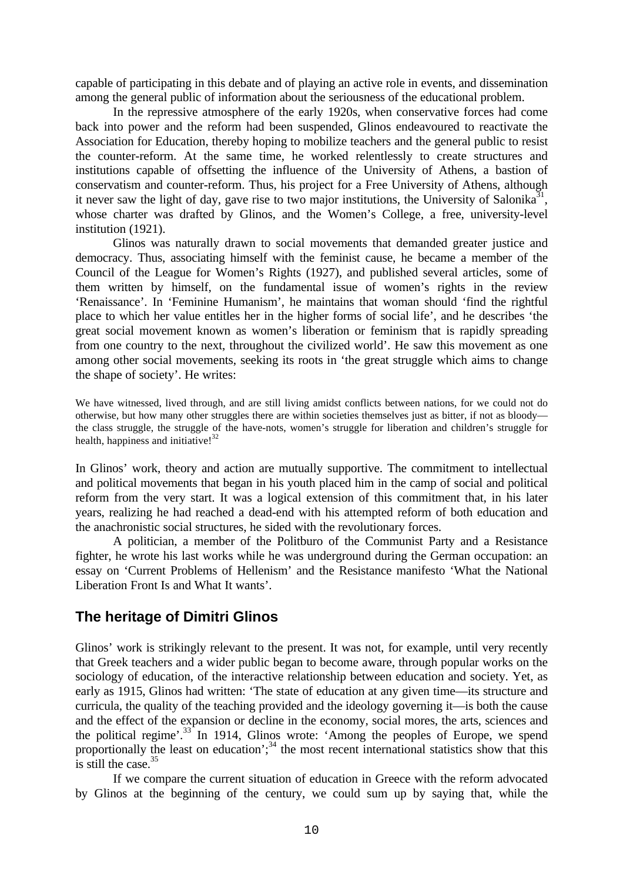capable of participating in this debate and of playing an active role in events, and dissemination among the general public of information about the seriousness of the educational problem.

In the repressive atmosphere of the early 1920s, when conservative forces had come back into power and the reform had been suspended, Glinos endeavoured to reactivate the Association for Education, thereby hoping to mobilize teachers and the general public to resist the counter-reform. At the same time, he worked relentlessly to create structures and institutions capable of offsetting the influence of the University of Athens, a bastion of conservatism and counter-reform. Thus, his project for a Free University of Athens, although it never saw the light of day, gave rise to two major institutions, the University of Salonika<sup>31</sup>, whose charter was drafted by Glinos, and the Women's College, a free, university-level institution (1921).

Glinos was naturally drawn to social movements that demanded greater justice and democracy. Thus, associating himself with the feminist cause, he became a member of the Council of the League for Women's Rights (1927), and published several articles, some of them written by himself, on the fundamental issue of women's rights in the review 'Renaissance'. In 'Feminine Humanism', he maintains that woman should 'find the rightful place to which her value entitles her in the higher forms of social life', and he describes 'the great social movement known as women's liberation or feminism that is rapidly spreading from one country to the next, throughout the civilized world'. He saw this movement as one among other social movements, seeking its roots in 'the great struggle which aims to change the shape of society'. He writes:

We have witnessed, lived through, and are still living amidst conflicts between nations, for we could not do otherwise, but how many other struggles there are within societies themselves just as bitter, if not as bloody the class struggle, the struggle of the have-nots, women's struggle for liberation and children's struggle for health, happiness and initiative!<sup>32</sup>

In Glinos' work, theory and action are mutually supportive. The commitment to intellectual and political movements that began in his youth placed him in the camp of social and political reform from the very start. It was a logical extension of this commitment that, in his later years, realizing he had reached a dead-end with his attempted reform of both education and the anachronistic social structures, he sided with the revolutionary forces.

A politician, a member of the Politburo of the Communist Party and a Resistance fighter, he wrote his last works while he was underground during the German occupation: an essay on 'Current Problems of Hellenism' and the Resistance manifesto 'What the National Liberation Front Is and What It wants'.

## **The heritage of Dimitri Glinos**

Glinos' work is strikingly relevant to the present. It was not, for example, until very recently that Greek teachers and a wider public began to become aware, through popular works on the sociology of education, of the interactive relationship between education and society. Yet, as early as 1915, Glinos had written: 'The state of education at any given time—its structure and curricula, the quality of the teaching provided and the ideology governing it—is both the cause and the effect of the expansion or decline in the economy, social mores, the arts, sciences and the political regime'.<sup>33</sup> In 1914, Glinos wrote: 'Among the peoples of Europe, we spend proportionally the least on education';<sup>34</sup> the most recent international statistics show that this is still the case. $35$ 

If we compare the current situation of education in Greece with the reform advocated by Glinos at the beginning of the century, we could sum up by saying that, while the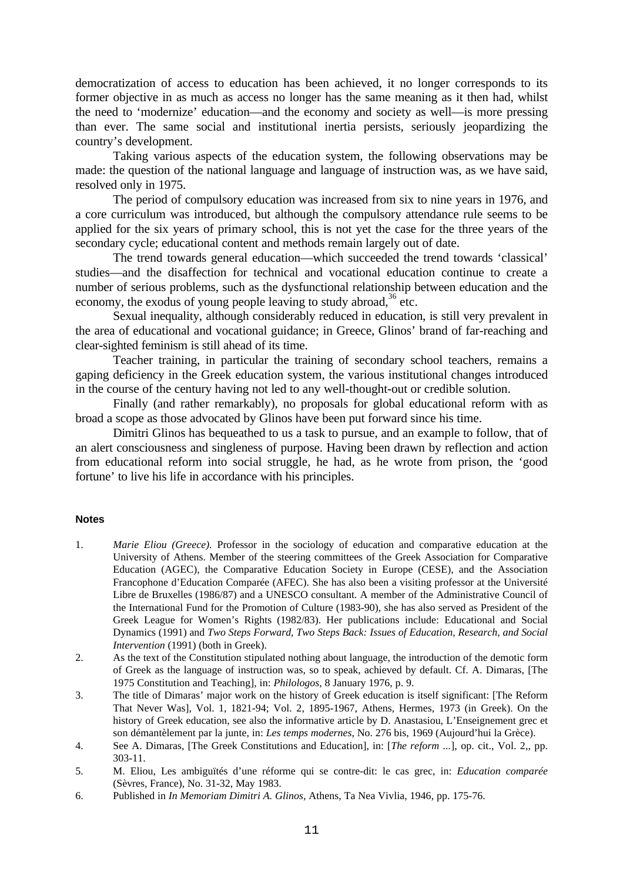democratization of access to education has been achieved, it no longer corresponds to its former objective in as much as access no longer has the same meaning as it then had, whilst the need to 'modernize' education—and the economy and society as well—is more pressing than ever. The same social and institutional inertia persists, seriously jeopardizing the country's development.

Taking various aspects of the education system, the following observations may be made: the question of the national language and language of instruction was, as we have said, resolved only in 1975.

The period of compulsory education was increased from six to nine years in 1976, and a core curriculum was introduced, but although the compulsory attendance rule seems to be applied for the six years of primary school, this is not yet the case for the three years of the secondary cycle; educational content and methods remain largely out of date.

The trend towards general education—which succeeded the trend towards 'classical' studies—and the disaffection for technical and vocational education continue to create a number of serious problems, such as the dysfunctional relationship between education and the economy, the exodus of young people leaving to study abroad,<sup>36</sup> etc.

Sexual inequality, although considerably reduced in education, is still very prevalent in the area of educational and vocational guidance; in Greece, Glinos' brand of far-reaching and clear-sighted feminism is still ahead of its time.

Teacher training, in particular the training of secondary school teachers, remains a gaping deficiency in the Greek education system, the various institutional changes introduced in the course of the century having not led to any well-thought-out or credible solution.

Finally (and rather remarkably), no proposals for global educational reform with as broad a scope as those advocated by Glinos have been put forward since his time.

Dimitri Glinos has bequeathed to us a task to pursue, and an example to follow, that of an alert consciousness and singleness of purpose. Having been drawn by reflection and action from educational reform into social struggle, he had, as he wrote from prison, the 'good fortune' to live his life in accordance with his principles.

#### **Notes**

- 1. *Marie Eliou (Greece).* Professor in the sociology of education and comparative education at the University of Athens. Member of the steering committees of the Greek Association for Comparative Education (AGEC), the Comparative Education Society in Europe (CESE), and the Association Francophone d'Education Comparée (AFEC). She has also been a visiting professor at the Université Libre de Bruxelles (1986/87) and a UNESCO consultant. A member of the Administrative Council of the International Fund for the Promotion of Culture (1983-90), she has also served as President of the Greek League for Women's Rights (1982/83). Her publications include: Educational and Social Dynamics (1991) and *Two Steps Forward, Two Steps Back: Issues of Education, Research, and Social Intervention* (1991) (both in Greek).
- 2. As the text of the Constitution stipulated nothing about language, the introduction of the demotic form of Greek as the language of instruction was, so to speak, achieved by default. Cf. A. Dimaras, [The 1975 Constitution and Teaching], in: *Philologos*, 8 January 1976, p. 9.
- 3. The title of Dimaras' major work on the history of Greek education is itself significant: [The Reform That Never Was], Vol. 1, 1821-94; Vol. 2, 1895-1967, Athens, Hermes, 1973 (in Greek). On the history of Greek education, see also the informative article by D. Anastasiou, L'Enseignement grec et son démantèlement par la junte, in: *Les temps modernes*, No. 276 bis, 1969 (Aujourd'hui la Grèce).
- 4. See A. Dimaras, [The Greek Constitutions and Education], in: [*The reform ...*], op. cit., Vol. 2,, pp. 303-11.
- 5. M. Eliou, Les ambiguïtés d'une réforme qui se contre-dit: le cas grec, in: *Education comparée* (Sèvres, France), No. 31-32, May 1983.
- 6. Published in *In Memoriam Dimitri A. Glinos*, Athens, Ta Nea Vivlia, 1946, pp. 175-76.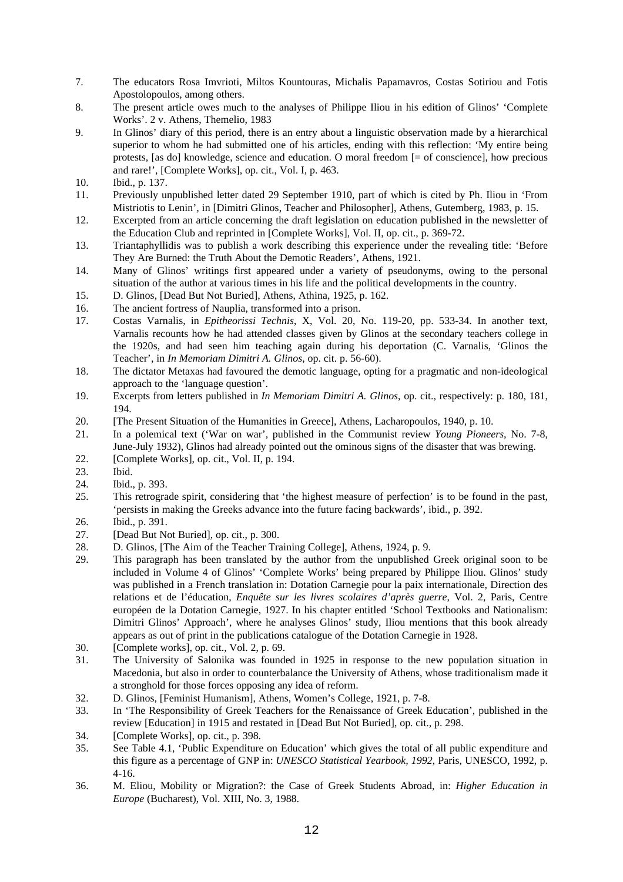- 7. The educators Rosa Imvrioti, Miltos Kountouras, Michalis Papamavros, Costas Sotiriou and Fotis Apostolopoulos, among others.
- 8. The present article owes much to the analyses of Philippe Iliou in his edition of Glinos' 'Complete Works'. 2 v. Athens, Themelio, 1983
- 9. In Glinos' diary of this period, there is an entry about a linguistic observation made by a hierarchical superior to whom he had submitted one of his articles, ending with this reflection: 'My entire being protests, [as do] knowledge, science and education. O moral freedom [= of conscience], how precious and rare!', [Complete Works], op. cit., Vol. I, p. 463.
- 10. Ibid., p. 137.
- 11. Previously unpublished letter dated 29 September 1910, part of which is cited by Ph. Iliou in 'From Mistriotis to Lenin', in [Dimitri Glinos, Teacher and Philosopher], Athens, Gutemberg, 1983, p. 15.
- 12. Excerpted from an article concerning the draft legislation on education published in the newsletter of the Education Club and reprinted in [Complete Works], Vol. II, op. cit., p. 369-72.
- 13. Triantaphyllidis was to publish a work describing this experience under the revealing title: 'Before They Are Burned: the Truth About the Demotic Readers', Athens, 1921.
- 14. Many of Glinos' writings first appeared under a variety of pseudonyms, owing to the personal situation of the author at various times in his life and the political developments in the country.
- 15. D. Glinos, [Dead But Not Buried], Athens, Athina, 1925, p. 162.
- 16. The ancient fortress of Nauplia, transformed into a prison.
- 17. Costas Varnalis, in *Epitheorissi Technis*, X, Vol. 20, No. 119-20, pp. 533-34. In another text, Varnalis recounts how he had attended classes given by Glinos at the secondary teachers college in the 1920s, and had seen him teaching again during his deportation (C. Varnalis, 'Glinos the Teacher', in *In Memoriam Dimitri A. Glinos*, op. cit. p. 56-60).
- 18. The dictator Metaxas had favoured the demotic language, opting for a pragmatic and non-ideological approach to the 'language question'.
- 19. Excerpts from letters published in *In Memoriam Dimitri A. Glinos*, op. cit., respectively: p. 180, 181, 194.
- 20. [The Present Situation of the Humanities in Greece], Athens, Lacharopoulos, 1940, p. 10.
- 21. In a polemical text ('War on war', published in the Communist review *Young Pioneers*, No. 7-8, June-July 1932), Glinos had already pointed out the ominous signs of the disaster that was brewing.
- 22. [Complete Works], op. cit., Vol. II, p. 194.
- 23. Ibid.
- 24. Ibid., p. 393.
- 25. This retrograde spirit, considering that 'the highest measure of perfection' is to be found in the past, 'persists in making the Greeks advance into the future facing backwards', ibid., p. 392.
- 26. Ibid., p. 391.
- 27. [Dead But Not Buried], op. cit., p. 300.
- 28. D. Glinos, [The Aim of the Teacher Training College], Athens, 1924, p. 9.
- 29. This paragraph has been translated by the author from the unpublished Greek original soon to be included in Volume 4 of Glinos' 'Complete Works' being prepared by Philippe Iliou. Glinos' study was published in a French translation in: Dotation Carnegie pour la paix internationale, Direction des relations et de l'éducation, *Enquête sur les livres scolaires d'après guerre*, Vol. 2, Paris, Centre européen de la Dotation Carnegie, 1927. In his chapter entitled 'School Textbooks and Nationalism: Dimitri Glinos' Approach', where he analyses Glinos' study, Iliou mentions that this book already appears as out of print in the publications catalogue of the Dotation Carnegie in 1928.
- 30. [Complete works], op. cit., Vol. 2, p. 69.
- 31. The University of Salonika was founded in 1925 in response to the new population situation in Macedonia, but also in order to counterbalance the University of Athens, whose traditionalism made it a stronghold for those forces opposing any idea of reform.
- 32. D. Glinos, [Feminist Humanism], Athens, Women's College, 1921, p. 7-8.
- 33. In 'The Responsibility of Greek Teachers for the Renaissance of Greek Education', published in the review [Education] in 1915 and restated in [Dead But Not Buried], op. cit., p. 298.
- 34. [Complete Works], op. cit., p. 398.
- 35. See Table 4.1, 'Public Expenditure on Education' which gives the total of all public expenditure and this figure as a percentage of GNP in: *UNESCO Statistical Yearbook, 1992*, Paris, UNESCO, 1992, p. 4-16.
- 36. M. Eliou, Mobility or Migration?: the Case of Greek Students Abroad, in: *Higher Education in Europe* (Bucharest), Vol. XIII, No. 3, 1988.